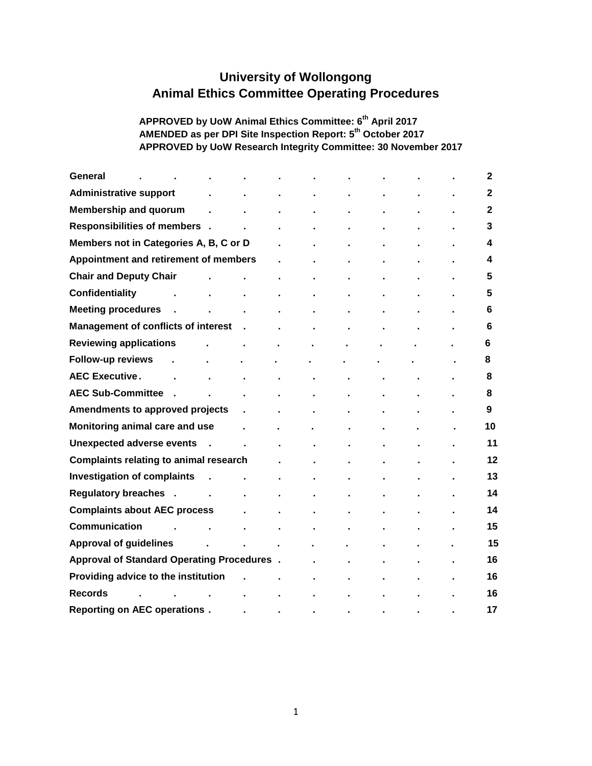# **University of Wollongong Animal Ethics Committee Operating Procedures**

#### **APPROVED by UoW Animal Ethics Committee: 6th April 2017 AMENDED as per DPI Site Inspection Report: 5th October 2017 APPROVED by UoW Research Integrity Committee: 30 November 2017**

| General                                           |        |  |  |  | 2            |
|---------------------------------------------------|--------|--|--|--|--------------|
| <b>Administrative support</b>                     |        |  |  |  | 2            |
| <b>Membership and quorum</b>                      |        |  |  |  | $\mathbf{2}$ |
| Responsibilities of members.                      |        |  |  |  | 3            |
| Members not in Categories A, B, C or D            |        |  |  |  | 4            |
| Appointment and retirement of members             |        |  |  |  | 4            |
| <b>Chair and Deputy Chair</b>                     |        |  |  |  | 5            |
| Confidentiality                                   |        |  |  |  | 5            |
| <b>Meeting procedures</b>                         |        |  |  |  | 6            |
| <b>Management of conflicts of interest</b>        |        |  |  |  | 6            |
| <b>Reviewing applications</b>                     |        |  |  |  | 6            |
| <b>Follow-up reviews</b>                          |        |  |  |  | 8            |
| <b>AEC Executive.</b>                             |        |  |  |  | 8            |
| <b>AEC Sub-Committee</b>                          |        |  |  |  | 8            |
| Amendments to approved projects                   |        |  |  |  | 9            |
| Monitoring animal care and use                    |        |  |  |  | 10           |
| <b>Unexpected adverse events</b>                  | $\sim$ |  |  |  | 11           |
| <b>Complaints relating to animal research</b>     |        |  |  |  | 12           |
| <b>Investigation of complaints</b>                |        |  |  |  | 13           |
| Regulatory breaches .                             |        |  |  |  | 14           |
| <b>Complaints about AEC process</b>               |        |  |  |  | 14           |
| Communication                                     |        |  |  |  | 15           |
| <b>Approval of guidelines</b>                     |        |  |  |  | 15           |
| <b>Approval of Standard Operating Procedures.</b> |        |  |  |  | 16           |
| Providing advice to the institution               |        |  |  |  | 16           |
| <b>Records</b>                                    |        |  |  |  | 16           |
| <b>Reporting on AEC operations.</b>               |        |  |  |  | 17           |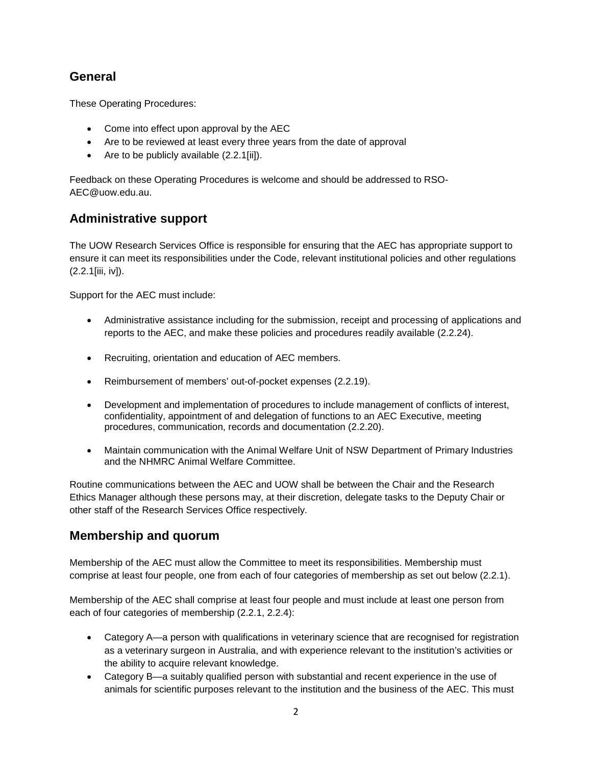### **General**

These Operating Procedures:

- Come into effect upon approval by the AEC
- Are to be reviewed at least every three years from the date of approval
- Are to be publicly available (2.2.1[ii]).

Feedback on these Operating Procedures is welcome and should be addressed to RSO-AEC@uow.edu.au.

### **Administrative support**

The UOW Research Services Office is responsible for ensuring that the AEC has appropriate support to ensure it can meet its responsibilities under the Code, relevant institutional policies and other regulations (2.2.1[iii, iv]).

Support for the AEC must include:

- Administrative assistance including for the submission, receipt and processing of applications and reports to the AEC, and make these policies and procedures readily available (2.2.24).
- Recruiting, orientation and education of AEC members.
- Reimbursement of members' out-of-pocket expenses (2.2.19).
- Development and implementation of procedures to include management of conflicts of interest, confidentiality, appointment of and delegation of functions to an AEC Executive, meeting procedures, communication, records and documentation (2.2.20).
- Maintain communication with the Animal Welfare Unit of NSW Department of Primary Industries and the NHMRC Animal Welfare Committee.

Routine communications between the AEC and UOW shall be between the Chair and the Research Ethics Manager although these persons may, at their discretion, delegate tasks to the Deputy Chair or other staff of the Research Services Office respectively.

### **Membership and quorum**

Membership of the AEC must allow the Committee to meet its responsibilities. Membership must comprise at least four people, one from each of four categories of membership as set out below (2.2.1).

Membership of the AEC shall comprise at least four people and must include at least one person from each of four categories of membership (2.2.1, 2.2.4):

- Category A—a person with qualifications in veterinary science that are recognised for registration as a veterinary surgeon in Australia, and with experience relevant to the institution's activities or the ability to acquire relevant knowledge.
- Category B—a suitably qualified person with substantial and recent experience in the use of animals for scientific purposes relevant to the institution and the business of the AEC. This must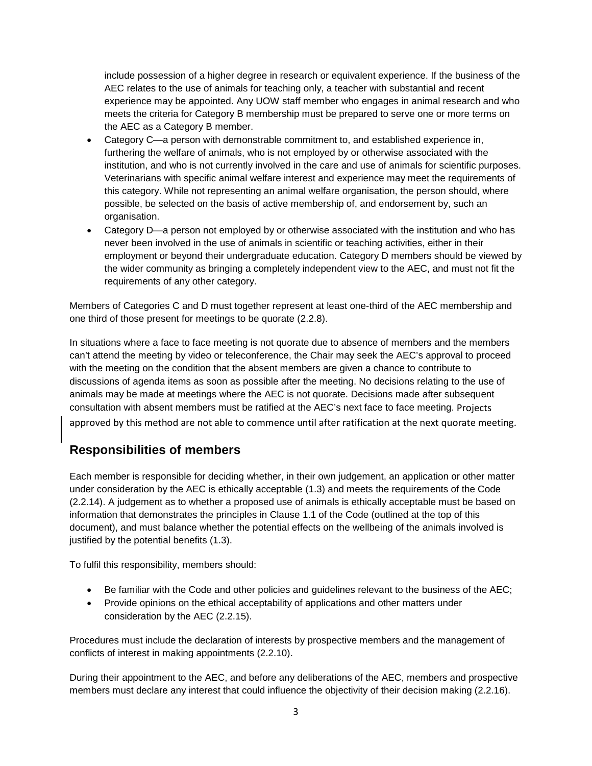include possession of a higher degree in research or equivalent experience. If the business of the AEC relates to the use of animals for teaching only, a teacher with substantial and recent experience may be appointed. Any UOW staff member who engages in animal research and who meets the criteria for Category B membership must be prepared to serve one or more terms on the AEC as a Category B member.

- Category C—a person with demonstrable commitment to, and established experience in, furthering the welfare of animals, who is not employed by or otherwise associated with the institution, and who is not currently involved in the care and use of animals for scientific purposes. Veterinarians with specific animal welfare interest and experience may meet the requirements of this category. While not representing an animal welfare organisation, the person should, where possible, be selected on the basis of active membership of, and endorsement by, such an organisation.
- Category D—a person not employed by or otherwise associated with the institution and who has never been involved in the use of animals in scientific or teaching activities, either in their employment or beyond their undergraduate education. Category D members should be viewed by the wider community as bringing a completely independent view to the AEC, and must not fit the requirements of any other category.

Members of Categories C and D must together represent at least one-third of the AEC membership and one third of those present for meetings to be quorate (2.2.8).

In situations where a face to face meeting is not quorate due to absence of members and the members can't attend the meeting by video or teleconference, the Chair may seek the AEC's approval to proceed with the meeting on the condition that the absent members are given a chance to contribute to discussions of agenda items as soon as possible after the meeting. No decisions relating to the use of animals may be made at meetings where the AEC is not quorate. Decisions made after subsequent consultation with absent members must be ratified at the AEC's next face to face meeting. Projects approved by this method are not able to commence until after ratification at the next quorate meeting.

### **Responsibilities of members**

Each member is responsible for deciding whether, in their own judgement, an application or other matter under consideration by the AEC is ethically acceptable (1.3) and meets the requirements of the Code (2.2.14). A judgement as to whether a proposed use of animals is ethically acceptable must be based on information that demonstrates the principles in Clause 1.1 of the Code (outlined at the top of this document), and must balance whether the potential effects on the wellbeing of the animals involved is justified by the potential benefits (1.3).

To fulfil this responsibility, members should:

- Be familiar with the Code and other policies and guidelines relevant to the business of the AEC;
- Provide opinions on the ethical acceptability of applications and other matters under consideration by the AEC (2.2.15).

Procedures must include the declaration of interests by prospective members and the management of conflicts of interest in making appointments (2.2.10).

During their appointment to the AEC, and before any deliberations of the AEC, members and prospective members must declare any interest that could influence the objectivity of their decision making (2.2.16).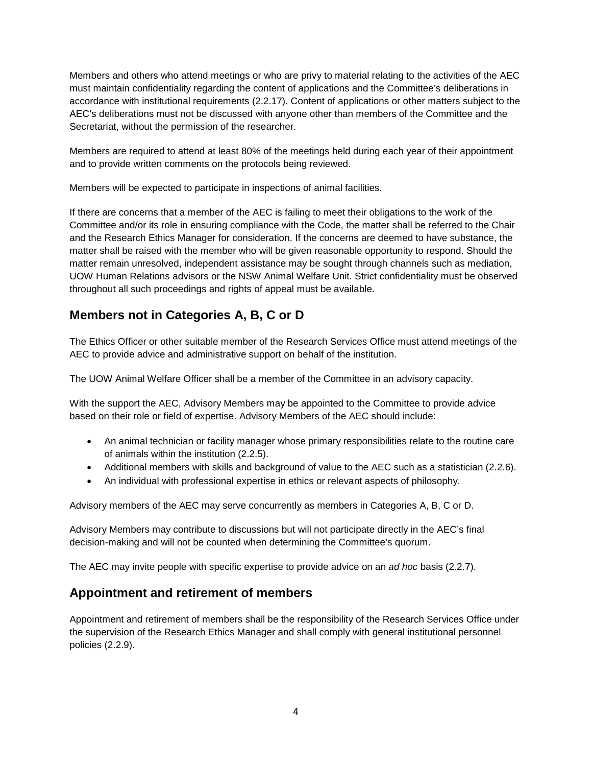Members and others who attend meetings or who are privy to material relating to the activities of the AEC must maintain confidentiality regarding the content of applications and the Committee's deliberations in accordance with institutional requirements (2.2.17). Content of applications or other matters subject to the AEC's deliberations must not be discussed with anyone other than members of the Committee and the Secretariat, without the permission of the researcher.

Members are required to attend at least 80% of the meetings held during each year of their appointment and to provide written comments on the protocols being reviewed.

Members will be expected to participate in inspections of animal facilities.

If there are concerns that a member of the AEC is failing to meet their obligations to the work of the Committee and/or its role in ensuring compliance with the Code, the matter shall be referred to the Chair and the Research Ethics Manager for consideration. If the concerns are deemed to have substance, the matter shall be raised with the member who will be given reasonable opportunity to respond. Should the matter remain unresolved, independent assistance may be sought through channels such as mediation, UOW Human Relations advisors or the NSW Animal Welfare Unit. Strict confidentiality must be observed throughout all such proceedings and rights of appeal must be available.

## **Members not in Categories A, B, C or D**

The Ethics Officer or other suitable member of the Research Services Office must attend meetings of the AEC to provide advice and administrative support on behalf of the institution.

The UOW Animal Welfare Officer shall be a member of the Committee in an advisory capacity.

With the support the AEC, Advisory Members may be appointed to the Committee to provide advice based on their role or field of expertise. Advisory Members of the AEC should include:

- An animal technician or facility manager whose primary responsibilities relate to the routine care of animals within the institution (2.2.5).
- Additional members with skills and background of value to the AEC such as a statistician (2.2.6).
- An individual with professional expertise in ethics or relevant aspects of philosophy.

Advisory members of the AEC may serve concurrently as members in Categories A, B, C or D.

Advisory Members may contribute to discussions but will not participate directly in the AEC's final decision-making and will not be counted when determining the Committee's quorum.

The AEC may invite people with specific expertise to provide advice on an *ad hoc* basis (2.2.7).

### **Appointment and retirement of members**

Appointment and retirement of members shall be the responsibility of the Research Services Office under the supervision of the Research Ethics Manager and shall comply with general institutional personnel policies (2.2.9).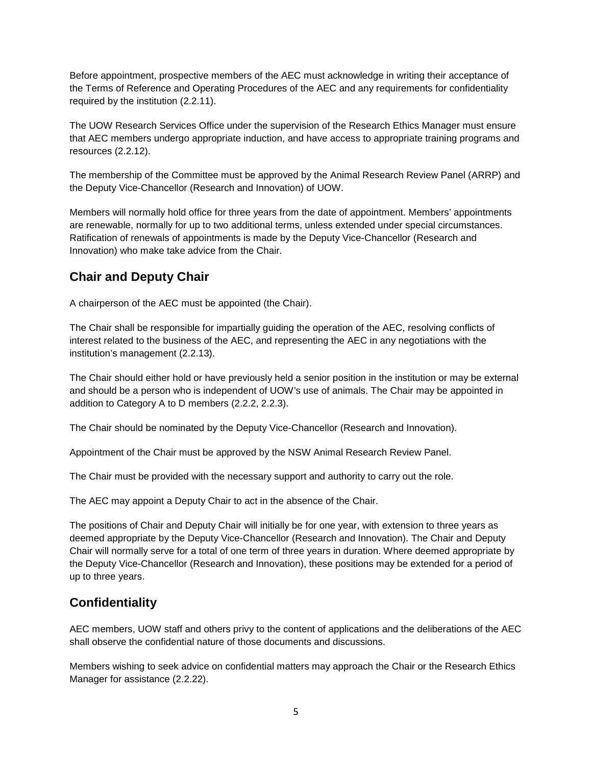Before appointment, prospective members of the AEC must acknowledge in writing their acceptance of the Terms of Reference and Operating Procedures of the AEC and any requirements for confidentiality required by the institution (2.2.11).

The UOW Research Services Office under the supervision of the Research Ethics Manager must ensure that AEC members undergo appropriate induction, and have access to appropriate training programs and resources (2.2.12).

The membership of the Committee must be approved by the Animal Research Review Panel (ARRP) and the Deputy Vice-Chancellor (Research and Innovation) of UOW.

Members will normally hold office for three years from the date of appointment. Members' appointments are renewable, normally for up to two additional terms, unless extended under special circumstances. Ratification of renewals of appointments is made by the Deputy Vice-Chancellor (Research and Innovation) who make take advice from the Chair.

## **Chair and Deputy Chair**

A chairperson of the AEC must be appointed (the Chair).

The Chair shall be responsible for impartially guiding the operation of the AEC, resolving conflicts of interest related to the business of the AEC, and representing the AEC in any negotiations with the institution's management (2.2.13).

The Chair should either hold or have previously held a senior position in the institution or may be external and should be a person who is independent of UOW's use of animals. The Chair may be appointed in addition to Category A to D members (2.2.2, 2.2.3).

The Chair should be nominated by the Deputy Vice-Chancellor (Research and Innovation).

Appointment of the Chair must be approved by the NSW Animal Research Review Panel.

The Chair must be provided with the necessary support and authority to carry out the role.

The AEC may appoint a Deputy Chair to act in the absence of the Chair.

The positions of Chair and Deputy Chair will initially be for one year, with extension to three years as deemed appropriate by the Deputy Vice-Chancellor (Research and Innovation). The Chair and Deputy Chair will normally serve for a total of one term of three years in duration. Where deemed appropriate by the Deputy Vice-Chancellor (Research and Innovation), these positions may be extended for a period of up to three years.

## **Confidentiality**

AEC members, UOW staff and others privy to the content of applications and the deliberations of the AEC shall observe the confidential nature of those documents and discussions.

Members wishing to seek advice on confidential matters may approach the Chair or the Research Ethics Manager for assistance (2.2.22).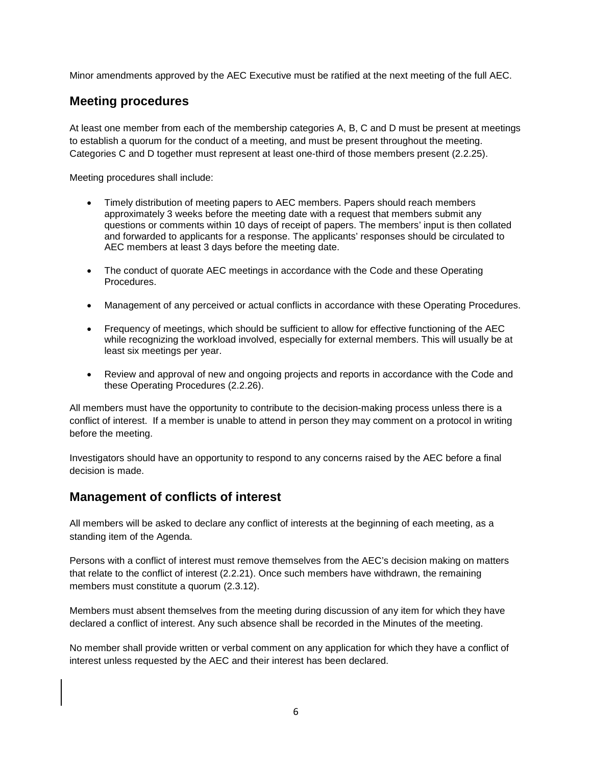Minor amendments approved by the AEC Executive must be ratified at the next meeting of the full AEC.

### **Meeting procedures**

At least one member from each of the membership categories A, B, C and D must be present at meetings to establish a quorum for the conduct of a meeting, and must be present throughout the meeting. Categories C and D together must represent at least one-third of those members present (2.2.25).

Meeting procedures shall include:

- Timely distribution of meeting papers to AEC members. Papers should reach members approximately 3 weeks before the meeting date with a request that members submit any questions or comments within 10 days of receipt of papers. The members' input is then collated and forwarded to applicants for a response. The applicants' responses should be circulated to AEC members at least 3 days before the meeting date.
- The conduct of quorate AEC meetings in accordance with the Code and these Operating Procedures.
- Management of any perceived or actual conflicts in accordance with these Operating Procedures.
- Frequency of meetings, which should be sufficient to allow for effective functioning of the AEC while recognizing the workload involved, especially for external members. This will usually be at least six meetings per year.
- Review and approval of new and ongoing projects and reports in accordance with the Code and these Operating Procedures (2.2.26).

All members must have the opportunity to contribute to the decision-making process unless there is a conflict of interest. If a member is unable to attend in person they may comment on a protocol in writing before the meeting.

Investigators should have an opportunity to respond to any concerns raised by the AEC before a final decision is made.

### **Management of conflicts of interest**

All members will be asked to declare any conflict of interests at the beginning of each meeting, as a standing item of the Agenda.

Persons with a conflict of interest must remove themselves from the AEC's decision making on matters that relate to the conflict of interest (2.2.21). Once such members have withdrawn, the remaining members must constitute a quorum (2.3.12).

Members must absent themselves from the meeting during discussion of any item for which they have declared a conflict of interest. Any such absence shall be recorded in the Minutes of the meeting.

No member shall provide written or verbal comment on any application for which they have a conflict of interest unless requested by the AEC and their interest has been declared.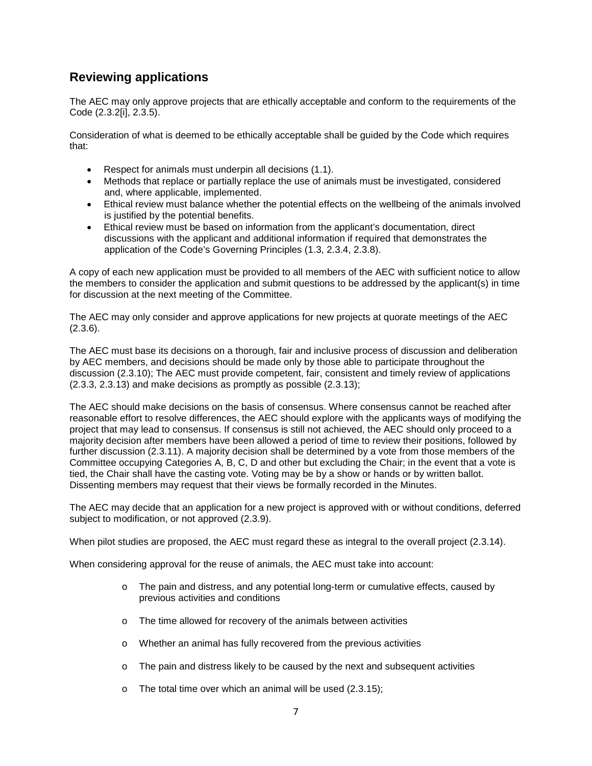### **Reviewing applications**

The AEC may only approve projects that are ethically acceptable and conform to the requirements of the Code (2.3.2[i], 2.3.5).

Consideration of what is deemed to be ethically acceptable shall be guided by the Code which requires that:

- Respect for animals must underpin all decisions (1.1).
- Methods that replace or partially replace the use of animals must be investigated, considered and, where applicable, implemented.
- Ethical review must balance whether the potential effects on the wellbeing of the animals involved is justified by the potential benefits.
- Ethical review must be based on information from the applicant's documentation, direct discussions with the applicant and additional information if required that demonstrates the application of the Code's Governing Principles (1.3, 2.3.4, 2.3.8).

A copy of each new application must be provided to all members of the AEC with sufficient notice to allow the members to consider the application and submit questions to be addressed by the applicant(s) in time for discussion at the next meeting of the Committee.

The AEC may only consider and approve applications for new projects at quorate meetings of the AEC  $(2.3.6)$ .

The AEC must base its decisions on a thorough, fair and inclusive process of discussion and deliberation by AEC members, and decisions should be made only by those able to participate throughout the discussion (2.3.10); The AEC must provide competent, fair, consistent and timely review of applications (2.3.3, 2.3.13) and make decisions as promptly as possible (2.3.13);

The AEC should make decisions on the basis of consensus. Where consensus cannot be reached after reasonable effort to resolve differences, the AEC should explore with the applicants ways of modifying the project that may lead to consensus. If consensus is still not achieved, the AEC should only proceed to a majority decision after members have been allowed a period of time to review their positions, followed by further discussion (2.3.11). A majority decision shall be determined by a vote from those members of the Committee occupying Categories A, B, C, D and other but excluding the Chair; in the event that a vote is tied, the Chair shall have the casting vote. Voting may be by a show or hands or by written ballot. Dissenting members may request that their views be formally recorded in the Minutes.

The AEC may decide that an application for a new project is approved with or without conditions, deferred subject to modification, or not approved (2.3.9).

When pilot studies are proposed, the AEC must regard these as integral to the overall project (2.3.14).

When considering approval for the reuse of animals, the AEC must take into account:

- o The pain and distress, and any potential long-term or cumulative effects, caused by previous activities and conditions
- o The time allowed for recovery of the animals between activities
- o Whether an animal has fully recovered from the previous activities
- o The pain and distress likely to be caused by the next and subsequent activities
- o The total time over which an animal will be used (2.3.15);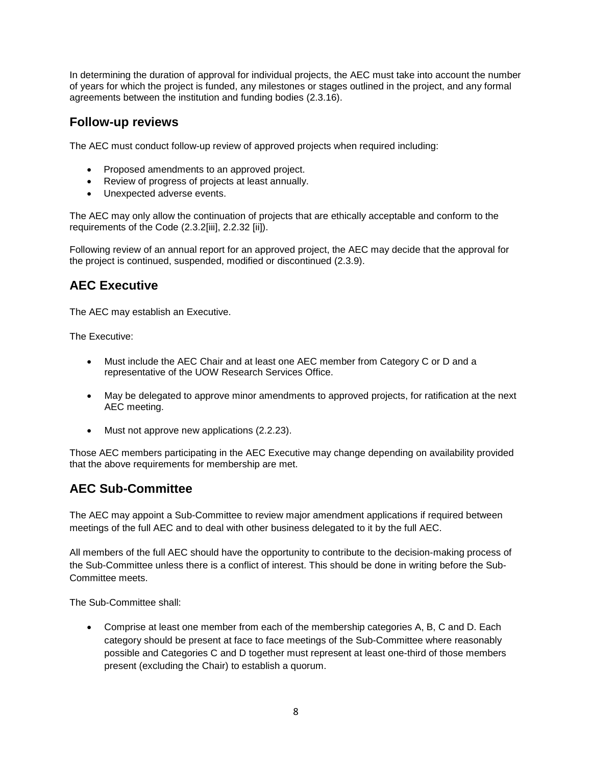In determining the duration of approval for individual projects, the AEC must take into account the number of years for which the project is funded, any milestones or stages outlined in the project, and any formal agreements between the institution and funding bodies (2.3.16).

### **Follow-up reviews**

The AEC must conduct follow-up review of approved projects when required including:

- Proposed amendments to an approved project.
- Review of progress of projects at least annually.
- Unexpected adverse events.

The AEC may only allow the continuation of projects that are ethically acceptable and conform to the requirements of the Code (2.3.2[iii], 2.2.32 [ii]).

Following review of an annual report for an approved project, the AEC may decide that the approval for the project is continued, suspended, modified or discontinued (2.3.9).

### **AEC Executive**

The AEC may establish an Executive.

The Executive:

- Must include the AEC Chair and at least one AEC member from Category C or D and a representative of the UOW Research Services Office.
- May be delegated to approve minor amendments to approved projects, for ratification at the next AEC meeting.
- Must not approve new applications (2.2.23).

Those AEC members participating in the AEC Executive may change depending on availability provided that the above requirements for membership are met.

## **AEC Sub-Committee**

The AEC may appoint a Sub-Committee to review major amendment applications if required between meetings of the full AEC and to deal with other business delegated to it by the full AEC.

All members of the full AEC should have the opportunity to contribute to the decision-making process of the Sub-Committee unless there is a conflict of interest. This should be done in writing before the Sub-Committee meets.

The Sub-Committee shall:

• Comprise at least one member from each of the membership categories A, B, C and D. Each category should be present at face to face meetings of the Sub-Committee where reasonably possible and Categories C and D together must represent at least one-third of those members present (excluding the Chair) to establish a quorum.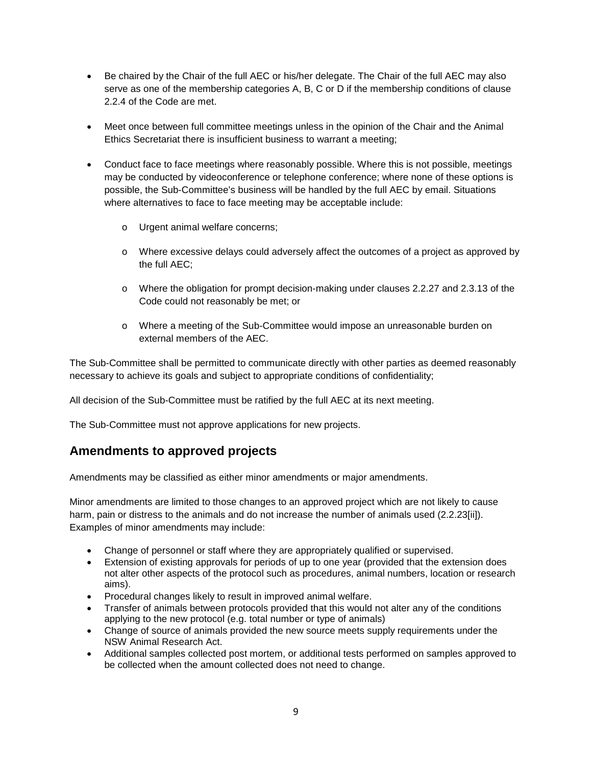- Be chaired by the Chair of the full AEC or his/her delegate. The Chair of the full AEC may also serve as one of the membership categories A, B, C or D if the membership conditions of clause 2.2.4 of the Code are met.
- Meet once between full committee meetings unless in the opinion of the Chair and the Animal Ethics Secretariat there is insufficient business to warrant a meeting;
- Conduct face to face meetings where reasonably possible. Where this is not possible, meetings may be conducted by videoconference or telephone conference; where none of these options is possible, the Sub-Committee's business will be handled by the full AEC by email. Situations where alternatives to face to face meeting may be acceptable include:
	- o Urgent animal welfare concerns;
	- o Where excessive delays could adversely affect the outcomes of a project as approved by the full AEC;
	- o Where the obligation for prompt decision-making under clauses 2.2.27 and 2.3.13 of the Code could not reasonably be met; or
	- o Where a meeting of the Sub-Committee would impose an unreasonable burden on external members of the AEC.

The Sub-Committee shall be permitted to communicate directly with other parties as deemed reasonably necessary to achieve its goals and subject to appropriate conditions of confidentiality;

All decision of the Sub-Committee must be ratified by the full AEC at its next meeting.

The Sub-Committee must not approve applications for new projects.

### **Amendments to approved projects**

Amendments may be classified as either minor amendments or major amendments.

Minor amendments are limited to those changes to an approved project which are not likely to cause harm, pain or distress to the animals and do not increase the number of animals used (2.2.23[ii]). Examples of minor amendments may include:

- Change of personnel or staff where they are appropriately qualified or supervised.
- Extension of existing approvals for periods of up to one year (provided that the extension does not alter other aspects of the protocol such as procedures, animal numbers, location or research aims).
- Procedural changes likely to result in improved animal welfare.
- Transfer of animals between protocols provided that this would not alter any of the conditions applying to the new protocol (e.g. total number or type of animals)
- Change of source of animals provided the new source meets supply requirements under the NSW Animal Research Act.
- Additional samples collected post mortem, or additional tests performed on samples approved to be collected when the amount collected does not need to change.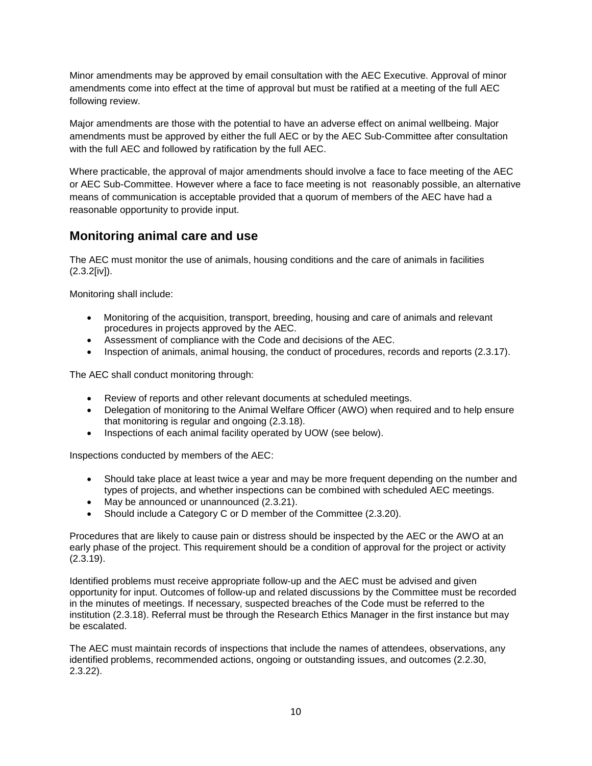Minor amendments may be approved by email consultation with the AEC Executive. Approval of minor amendments come into effect at the time of approval but must be ratified at a meeting of the full AEC following review.

Major amendments are those with the potential to have an adverse effect on animal wellbeing. Major amendments must be approved by either the full AEC or by the AEC Sub-Committee after consultation with the full AEC and followed by ratification by the full AEC.

Where practicable, the approval of major amendments should involve a face to face meeting of the AEC or AEC Sub-Committee. However where a face to face meeting is not reasonably possible, an alternative means of communication is acceptable provided that a quorum of members of the AEC have had a reasonable opportunity to provide input.

### **Monitoring animal care and use**

The AEC must monitor the use of animals, housing conditions and the care of animals in facilities (2.3.2[iv]).

Monitoring shall include:

- Monitoring of the acquisition, transport, breeding, housing and care of animals and relevant procedures in projects approved by the AEC.
- Assessment of compliance with the Code and decisions of the AEC.
- Inspection of animals, animal housing, the conduct of procedures, records and reports (2.3.17).

The AEC shall conduct monitoring through:

- Review of reports and other relevant documents at scheduled meetings.
- Delegation of monitoring to the Animal Welfare Officer (AWO) when required and to help ensure that monitoring is regular and ongoing (2.3.18).
- Inspections of each animal facility operated by UOW (see below).

Inspections conducted by members of the AEC:

- Should take place at least twice a year and may be more frequent depending on the number and types of projects, and whether inspections can be combined with scheduled AEC meetings.
- May be announced or unannounced (2.3.21).
- Should include a Category C or D member of the Committee (2.3.20).

Procedures that are likely to cause pain or distress should be inspected by the AEC or the AWO at an early phase of the project. This requirement should be a condition of approval for the project or activity (2.3.19).

Identified problems must receive appropriate follow-up and the AEC must be advised and given opportunity for input. Outcomes of follow-up and related discussions by the Committee must be recorded in the minutes of meetings. If necessary, suspected breaches of the Code must be referred to the institution (2.3.18). Referral must be through the Research Ethics Manager in the first instance but may be escalated.

The AEC must maintain records of inspections that include the names of attendees, observations, any identified problems, recommended actions, ongoing or outstanding issues, and outcomes (2.2.30, 2.3.22).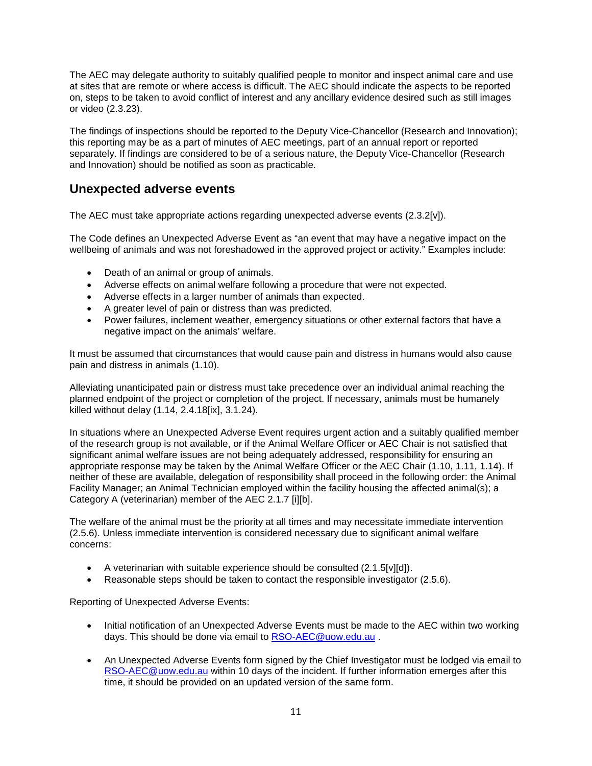The AEC may delegate authority to suitably qualified people to monitor and inspect animal care and use at sites that are remote or where access is difficult. The AEC should indicate the aspects to be reported on, steps to be taken to avoid conflict of interest and any ancillary evidence desired such as still images or video (2.3.23).

The findings of inspections should be reported to the Deputy Vice-Chancellor (Research and Innovation); this reporting may be as a part of minutes of AEC meetings, part of an annual report or reported separately. If findings are considered to be of a serious nature, the Deputy Vice-Chancellor (Research and Innovation) should be notified as soon as practicable.

### **Unexpected adverse events**

The AEC must take appropriate actions regarding unexpected adverse events (2.3.2[v]).

The Code defines an Unexpected Adverse Event as "an event that may have a negative impact on the wellbeing of animals and was not foreshadowed in the approved project or activity." Examples include:

- Death of an animal or group of animals.
- Adverse effects on animal welfare following a procedure that were not expected.
- Adverse effects in a larger number of animals than expected.
- A greater level of pain or distress than was predicted.
- Power failures, inclement weather, emergency situations or other external factors that have a negative impact on the animals' welfare.

It must be assumed that circumstances that would cause pain and distress in humans would also cause pain and distress in animals (1.10).

Alleviating unanticipated pain or distress must take precedence over an individual animal reaching the planned endpoint of the project or completion of the project. If necessary, animals must be humanely killed without delay (1.14, 2.4.18[ix], 3.1.24).

In situations where an Unexpected Adverse Event requires urgent action and a suitably qualified member of the research group is not available, or if the Animal Welfare Officer or AEC Chair is not satisfied that significant animal welfare issues are not being adequately addressed, responsibility for ensuring an appropriate response may be taken by the Animal Welfare Officer or the AEC Chair (1.10, 1.11, 1.14). If neither of these are available, delegation of responsibility shall proceed in the following order: the Animal Facility Manager; an Animal Technician employed within the facility housing the affected animal(s); a Category A (veterinarian) member of the AEC 2.1.7 [i][b].

The welfare of the animal must be the priority at all times and may necessitate immediate intervention (2.5.6). Unless immediate intervention is considered necessary due to significant animal welfare concerns:

- A veterinarian with suitable experience should be consulted (2.1.5[v][d]).
- Reasonable steps should be taken to contact the responsible investigator (2.5.6).

Reporting of Unexpected Adverse Events:

- Initial notification of an Unexpected Adverse Events must be made to the AEC within two working days. This should be done via email to [RSO-AEC@uow.edu.au](mailto:RSO-AEC@uow.edu.au) .
- An Unexpected Adverse Events form signed by the Chief Investigator must be lodged via email to [RSO-AEC@uow.edu.au](mailto:RSO-AEC@uow.edu.aub) within 10 days of the incident. If further information emerges after this time, it should be provided on an updated version of the same form.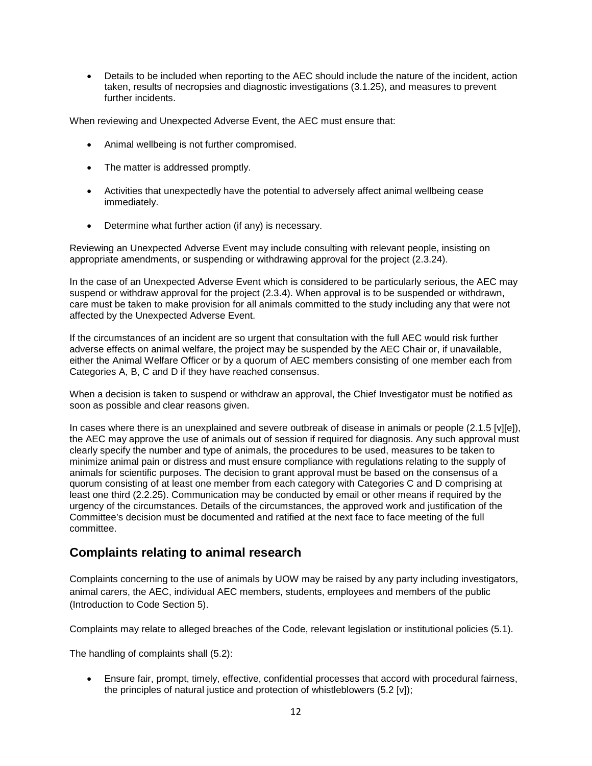• Details to be included when reporting to the AEC should include the nature of the incident, action taken, results of necropsies and diagnostic investigations (3.1.25), and measures to prevent further incidents.

When reviewing and Unexpected Adverse Event, the AEC must ensure that:

- Animal wellbeing is not further compromised.
- The matter is addressed promptly.
- Activities that unexpectedly have the potential to adversely affect animal wellbeing cease immediately.
- Determine what further action (if any) is necessary.

Reviewing an Unexpected Adverse Event may include consulting with relevant people, insisting on appropriate amendments, or suspending or withdrawing approval for the project (2.3.24).

In the case of an Unexpected Adverse Event which is considered to be particularly serious, the AEC may suspend or withdraw approval for the project (2.3.4). When approval is to be suspended or withdrawn, care must be taken to make provision for all animals committed to the study including any that were not affected by the Unexpected Adverse Event.

If the circumstances of an incident are so urgent that consultation with the full AEC would risk further adverse effects on animal welfare, the project may be suspended by the AEC Chair or, if unavailable, either the Animal Welfare Officer or by a quorum of AEC members consisting of one member each from Categories A, B, C and D if they have reached consensus.

When a decision is taken to suspend or withdraw an approval, the Chief Investigator must be notified as soon as possible and clear reasons given.

In cases where there is an unexplained and severe outbreak of disease in animals or people (2.1.5 [v][e]), the AEC may approve the use of animals out of session if required for diagnosis. Any such approval must clearly specify the number and type of animals, the procedures to be used, measures to be taken to minimize animal pain or distress and must ensure compliance with regulations relating to the supply of animals for scientific purposes. The decision to grant approval must be based on the consensus of a quorum consisting of at least one member from each category with Categories C and D comprising at least one third (2.2.25). Communication may be conducted by email or other means if required by the urgency of the circumstances. Details of the circumstances, the approved work and justification of the Committee's decision must be documented and ratified at the next face to face meeting of the full committee.

### **Complaints relating to animal research**

Complaints concerning to the use of animals by UOW may be raised by any party including investigators, animal carers, the AEC, individual AEC members, students, employees and members of the public (Introduction to Code Section 5).

Complaints may relate to alleged breaches of the Code, relevant legislation or institutional policies (5.1).

The handling of complaints shall (5.2):

• Ensure fair, prompt, timely, effective, confidential processes that accord with procedural fairness, the principles of natural justice and protection of whistleblowers (5.2 [v]);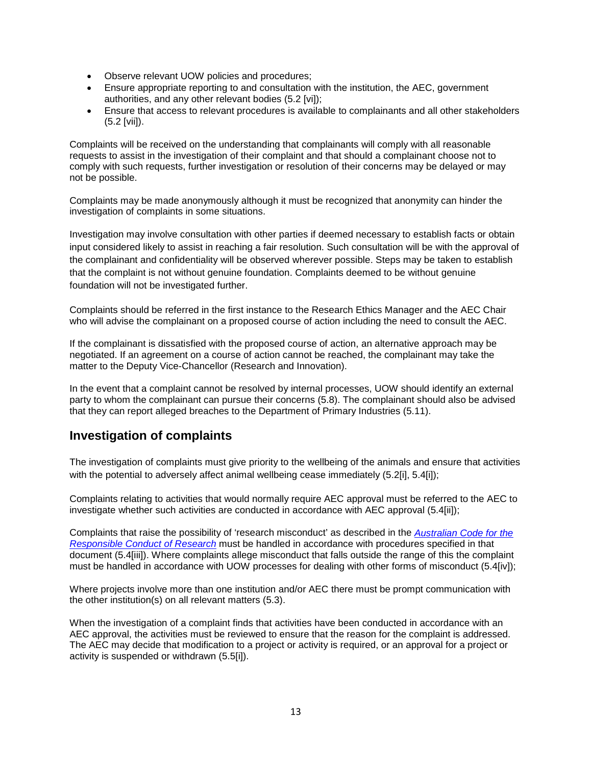- Observe relevant UOW policies and procedures;
- Ensure appropriate reporting to and consultation with the institution, the AEC, government authorities, and any other relevant bodies (5.2 [vi]);
- Ensure that access to relevant procedures is available to complainants and all other stakeholders (5.2 [vii]).

Complaints will be received on the understanding that complainants will comply with all reasonable requests to assist in the investigation of their complaint and that should a complainant choose not to comply with such requests, further investigation or resolution of their concerns may be delayed or may not be possible.

Complaints may be made anonymously although it must be recognized that anonymity can hinder the investigation of complaints in some situations.

Investigation may involve consultation with other parties if deemed necessary to establish facts or obtain input considered likely to assist in reaching a fair resolution. Such consultation will be with the approval of the complainant and confidentiality will be observed wherever possible. Steps may be taken to establish that the complaint is not without genuine foundation. Complaints deemed to be without genuine foundation will not be investigated further.

Complaints should be referred in the first instance to the Research Ethics Manager and the AEC Chair who will advise the complainant on a proposed course of action including the need to consult the AEC.

If the complainant is dissatisfied with the proposed course of action, an alternative approach may be negotiated. If an agreement on a course of action cannot be reached, the complainant may take the matter to the Deputy Vice-Chancellor (Research and Innovation).

In the event that a complaint cannot be resolved by internal processes, UOW should identify an external party to whom the complainant can pursue their concerns (5.8). The complainant should also be advised that they can report alleged breaches to the Department of Primary Industries (5.11).

### **Investigation of complaints**

The investigation of complaints must give priority to the wellbeing of the animals and ensure that activities with the potential to adversely affect animal wellbeing cease immediately (5.2[i], 5.4[i]);

Complaints relating to activities that would normally require AEC approval must be referred to the AEC to investigate whether such activities are conducted in accordance with AEC approval (5.4[ii]);

Complaints that raise the possibility of 'research misconduct' as described in the *[Australian Code for the](https://www.nhmrc.gov.au/guidelines-publications/r39)  [Responsible Conduct of Research](https://www.nhmrc.gov.au/guidelines-publications/r39)* must be handled in accordance with procedures specified in that document (5.4[iii]). Where complaints allege misconduct that falls outside the range of this the complaint must be handled in accordance with UOW processes for dealing with other forms of misconduct (5.4[iv]);

Where projects involve more than one institution and/or AEC there must be prompt communication with the other institution(s) on all relevant matters (5.3).

When the investigation of a complaint finds that activities have been conducted in accordance with an AEC approval, the activities must be reviewed to ensure that the reason for the complaint is addressed. The AEC may decide that modification to a project or activity is required, or an approval for a project or activity is suspended or withdrawn (5.5[i]).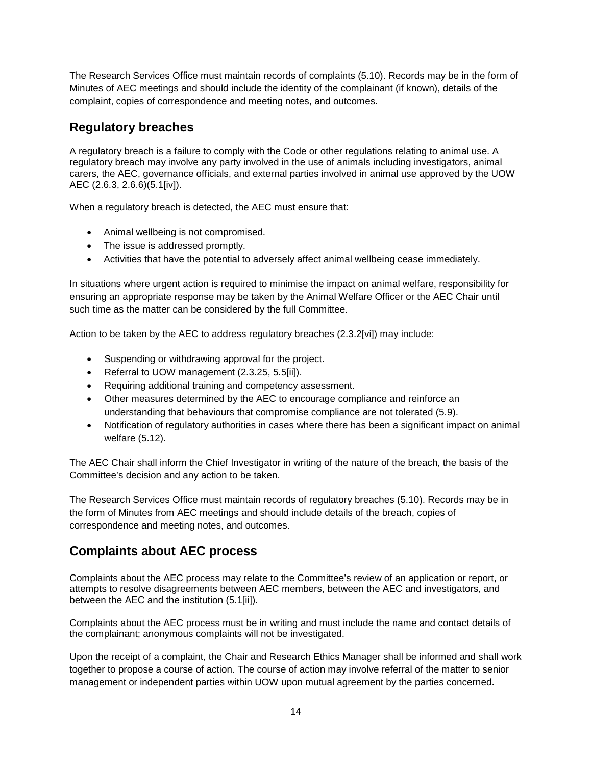The Research Services Office must maintain records of complaints (5.10). Records may be in the form of Minutes of AEC meetings and should include the identity of the complainant (if known), details of the complaint, copies of correspondence and meeting notes, and outcomes.

## **Regulatory breaches**

A regulatory breach is a failure to comply with the Code or other regulations relating to animal use. A regulatory breach may involve any party involved in the use of animals including investigators, animal carers, the AEC, governance officials, and external parties involved in animal use approved by the UOW AEC (2.6.3, 2.6.6)(5.1[iv]).

When a regulatory breach is detected, the AEC must ensure that:

- Animal wellbeing is not compromised.
- The issue is addressed promptly.
- Activities that have the potential to adversely affect animal wellbeing cease immediately.

In situations where urgent action is required to minimise the impact on animal welfare, responsibility for ensuring an appropriate response may be taken by the Animal Welfare Officer or the AEC Chair until such time as the matter can be considered by the full Committee.

Action to be taken by the AEC to address regulatory breaches (2.3.2[vi]) may include:

- Suspending or withdrawing approval for the project.
- Referral to UOW management (2.3.25, 5.5[ii]).
- Requiring additional training and competency assessment.
- Other measures determined by the AEC to encourage compliance and reinforce an understanding that behaviours that compromise compliance are not tolerated (5.9).
- Notification of regulatory authorities in cases where there has been a significant impact on animal welfare (5.12).

The AEC Chair shall inform the Chief Investigator in writing of the nature of the breach, the basis of the Committee's decision and any action to be taken.

The Research Services Office must maintain records of regulatory breaches (5.10). Records may be in the form of Minutes from AEC meetings and should include details of the breach, copies of correspondence and meeting notes, and outcomes.

## **Complaints about AEC process**

Complaints about the AEC process may relate to the Committee's review of an application or report, or attempts to resolve disagreements between AEC members, between the AEC and investigators, and between the AEC and the institution (5.1[ii]).

Complaints about the AEC process must be in writing and must include the name and contact details of the complainant; anonymous complaints will not be investigated.

Upon the receipt of a complaint, the Chair and Research Ethics Manager shall be informed and shall work together to propose a course of action. The course of action may involve referral of the matter to senior management or independent parties within UOW upon mutual agreement by the parties concerned.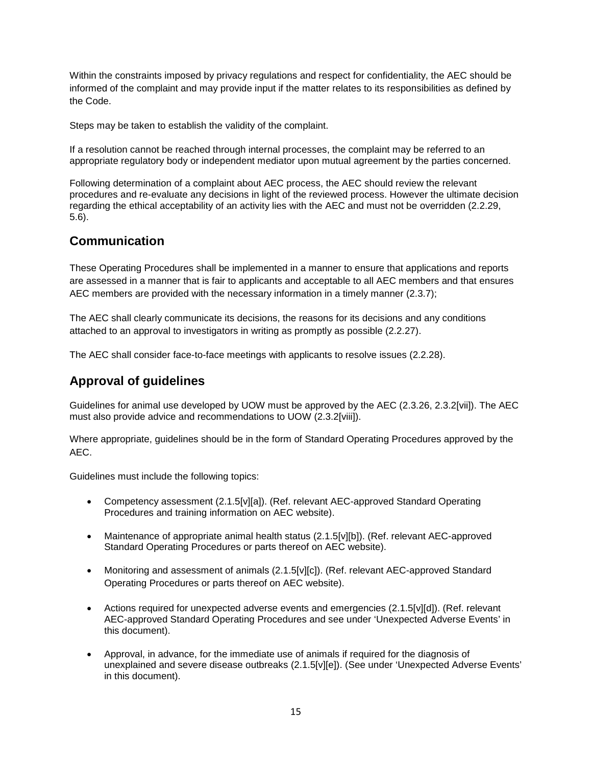Within the constraints imposed by privacy regulations and respect for confidentiality, the AEC should be informed of the complaint and may provide input if the matter relates to its responsibilities as defined by the Code.

Steps may be taken to establish the validity of the complaint.

If a resolution cannot be reached through internal processes, the complaint may be referred to an appropriate regulatory body or independent mediator upon mutual agreement by the parties concerned.

Following determination of a complaint about AEC process, the AEC should review the relevant procedures and re-evaluate any decisions in light of the reviewed process. However the ultimate decision regarding the ethical acceptability of an activity lies with the AEC and must not be overridden (2.2.29, 5.6).

### **Communication**

These Operating Procedures shall be implemented in a manner to ensure that applications and reports are assessed in a manner that is fair to applicants and acceptable to all AEC members and that ensures AEC members are provided with the necessary information in a timely manner (2.3.7);

The AEC shall clearly communicate its decisions, the reasons for its decisions and any conditions attached to an approval to investigators in writing as promptly as possible (2.2.27).

The AEC shall consider face-to-face meetings with applicants to resolve issues (2.2.28).

### **Approval of guidelines**

Guidelines for animal use developed by UOW must be approved by the AEC (2.3.26, 2.3.2[vii]). The AEC must also provide advice and recommendations to UOW (2.3.2[viii]).

Where appropriate, guidelines should be in the form of Standard Operating Procedures approved by the AEC.

Guidelines must include the following topics:

- Competency assessment (2.1.5[v][a]). (Ref. relevant AEC-approved Standard Operating Procedures and training information on AEC website).
- Maintenance of appropriate animal health status (2.1.5[v][b]). (Ref. relevant AEC-approved Standard Operating Procedures or parts thereof on AEC website).
- Monitoring and assessment of animals (2.1.5[v][c]). (Ref. relevant AEC-approved Standard Operating Procedures or parts thereof on AEC website).
- Actions required for unexpected adverse events and emergencies (2.1.5[v][d]). (Ref. relevant AEC-approved Standard Operating Procedures and see under 'Unexpected Adverse Events' in this document).
- Approval, in advance, for the immediate use of animals if required for the diagnosis of unexplained and severe disease outbreaks (2.1.5[v][e]). (See under 'Unexpected Adverse Events' in this document).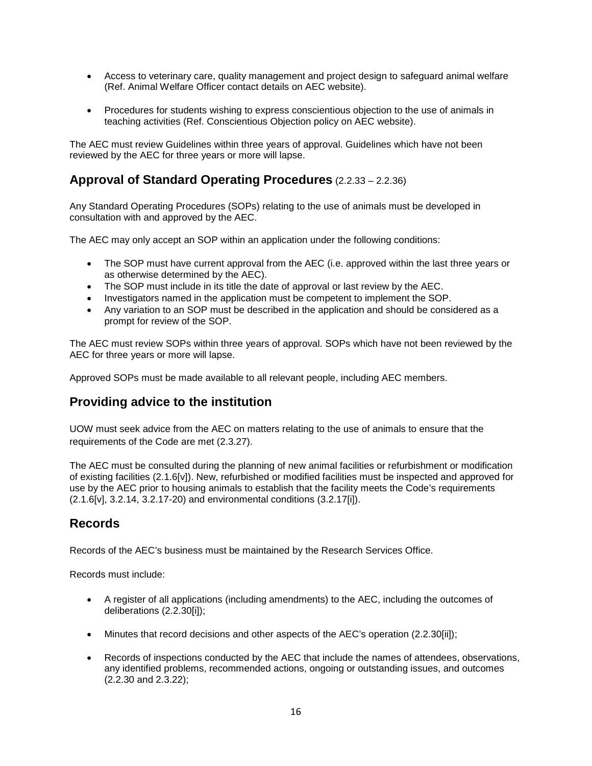- Access to veterinary care, quality management and project design to safeguard animal welfare (Ref. Animal Welfare Officer contact details on AEC website).
- Procedures for students wishing to express conscientious objection to the use of animals in teaching activities (Ref. Conscientious Objection policy on AEC website).

The AEC must review Guidelines within three years of approval. Guidelines which have not been reviewed by the AEC for three years or more will lapse.

### **Approval of Standard Operating Procedures** (2.2.33 – 2.2.36)

Any Standard Operating Procedures (SOPs) relating to the use of animals must be developed in consultation with and approved by the AEC.

The AEC may only accept an SOP within an application under the following conditions:

- The SOP must have current approval from the AEC (i.e. approved within the last three years or as otherwise determined by the AEC).
- The SOP must include in its title the date of approval or last review by the AEC.
- Investigators named in the application must be competent to implement the SOP.
- Any variation to an SOP must be described in the application and should be considered as a prompt for review of the SOP.

The AEC must review SOPs within three years of approval. SOPs which have not been reviewed by the AEC for three years or more will lapse.

Approved SOPs must be made available to all relevant people, including AEC members.

### **Providing advice to the institution**

UOW must seek advice from the AEC on matters relating to the use of animals to ensure that the requirements of the Code are met (2.3.27).

The AEC must be consulted during the planning of new animal facilities or refurbishment or modification of existing facilities (2.1.6[v]). New, refurbished or modified facilities must be inspected and approved for use by the AEC prior to housing animals to establish that the facility meets the Code's requirements (2.1.6[v], 3.2.14, 3.2.17-20) and environmental conditions (3.2.17[i]).

### **Records**

Records of the AEC's business must be maintained by the Research Services Office.

Records must include:

- A register of all applications (including amendments) to the AEC, including the outcomes of deliberations (2.2.30[i]);
- Minutes that record decisions and other aspects of the AEC's operation (2.2.30[ii]);
- Records of inspections conducted by the AEC that include the names of attendees, observations, any identified problems, recommended actions, ongoing or outstanding issues, and outcomes (2.2.30 and 2.3.22);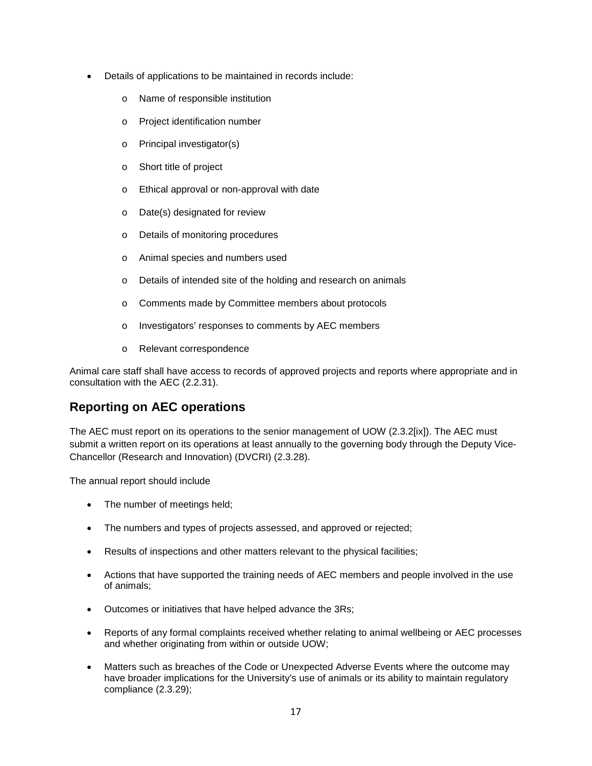- Details of applications to be maintained in records include:
	- o Name of responsible institution
	- o Project identification number
	- o Principal investigator(s)
	- o Short title of project
	- o Ethical approval or non-approval with date
	- o Date(s) designated for review
	- o Details of monitoring procedures
	- o Animal species and numbers used
	- o Details of intended site of the holding and research on animals
	- o Comments made by Committee members about protocols
	- o Investigators' responses to comments by AEC members
	- o Relevant correspondence

Animal care staff shall have access to records of approved projects and reports where appropriate and in consultation with the AEC (2.2.31).

### **Reporting on AEC operations**

The AEC must report on its operations to the senior management of UOW (2.3.2[ix]). The AEC must submit a written report on its operations at least annually to the governing body through the Deputy Vice-Chancellor (Research and Innovation) (DVCRI) (2.3.28).

The annual report should include

- The number of meetings held;
- The numbers and types of projects assessed, and approved or rejected;
- Results of inspections and other matters relevant to the physical facilities;
- Actions that have supported the training needs of AEC members and people involved in the use of animals;
- Outcomes or initiatives that have helped advance the 3Rs;
- Reports of any formal complaints received whether relating to animal wellbeing or AEC processes and whether originating from within or outside UOW;
- Matters such as breaches of the Code or Unexpected Adverse Events where the outcome may have broader implications for the University's use of animals or its ability to maintain regulatory compliance (2.3.29);